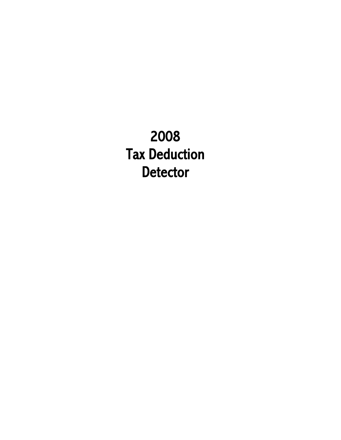2008 Tax Deduction **Detector**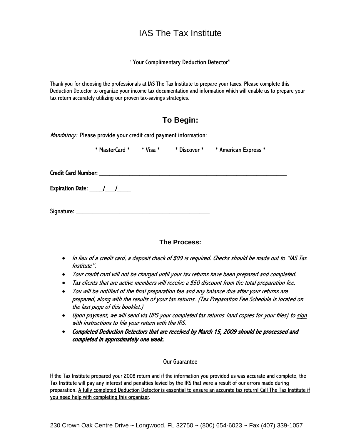## IAS The Tax Institute

"Your Complimentary Deduction Detector"

Thank you for choosing the professionals at IAS The Tax Institute to prepare your taxes. Please complete this Deduction Detector to organize your income tax documentation and information which will enable us to prepare your tax return accurately utilizing our proven tax-savings strategies.

## **To Begin:**

Mandatory: Please provide your credit card payment information:

\* MasterCard \* \* Visa \* \* Discover \* \* American Express \*

Credit Card Number: \_\_\_\_\_\_\_\_\_\_\_\_\_\_\_\_\_\_\_\_\_\_\_\_\_\_\_\_\_\_\_\_\_\_\_\_\_\_\_\_\_\_\_\_\_\_\_\_\_\_\_\_\_\_\_\_

Expiration Date:  $\frac{1}{2}$ 

Signature: \_\_\_\_\_\_\_\_\_\_\_\_\_\_\_\_\_\_\_\_\_\_\_\_\_\_\_\_\_\_\_\_\_\_\_\_\_\_\_\_

#### **The Process:**

- In lieu of a credit card, a deposit check of \$99 is required. Checks should be made out to "IAS Tax Institute".
- Your credit card will not be charged until your tax returns have been prepared and completed.
- Tax clients that are active members will receive a \$50 discount from the total preparation fee.
- You will be notified of the final preparation fee and any balance due after your returns are prepared, along with the results of your tax returns. (Tax Preparation Fee Schedule is located on the last page of this booklet.)
- Upon payment, we will send via UPS your completed tax returns (and copies for your files) to sign with instructions to file your return with the IRS.
- Completed Deduction Detectors that are received by March 15, 2009 should be processed and completed in approximately one week.

#### Our Guarantee

If the Tax Institute prepared your 2008 return and if the information you provided us was accurate and complete, the Tax Institute will pay any interest and penalties levied by the IRS that were a result of our errors made during preparation. A fully completed Deduction Detector is essential to ensure an accurate tax return! Call The Tax Institute if you need help with completing this organizer.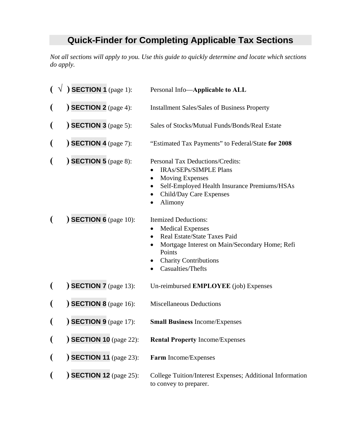# **Quick-Finder for Completing Applicable Tax Sections**

*Not all sections will apply to you. Use this guide to quickly determine and locate which sections do apply.* 

|                          | $(\sqrt{)}$ SECTION 1 (page 1):          | Personal Info-Applicable to ALL                                                                                                                                                                                      |
|--------------------------|------------------------------------------|----------------------------------------------------------------------------------------------------------------------------------------------------------------------------------------------------------------------|
|                          | $\big)$ SECTION 2 (page 4):              | <b>Installment Sales/Sales of Business Property</b>                                                                                                                                                                  |
| (                        | <b>SECTION 3</b> (page 5):               | Sales of Stocks/Mutual Funds/Bonds/Real Estate                                                                                                                                                                       |
| (                        | $\sum$ SECTION 4 (page 7):               | "Estimated Tax Payments" to Federal/State for 2008                                                                                                                                                                   |
| (                        | $\sum$ SECTION 5 (page 8):               | <b>Personal Tax Deductions/Credits:</b><br><b>IRAs/SEPs/SIMPLE Plans</b><br><b>Moving Expenses</b><br>$\bullet$<br>Self-Employed Health Insurance Premiums/HSAs<br>Child/Day Care Expenses<br>Alimony                |
|                          | $\big)$ SECTION 6 (page 10):             | <b>Itemized Deductions:</b><br><b>Medical Expenses</b><br>Real Estate/State Taxes Paid<br>$\bullet$<br>Mortgage Interest on Main/Secondary Home; Refi<br>Points<br><b>Charity Contributions</b><br>Casualties/Thefts |
|                          | $\sum$ SECTION 7 (page 13):              | Un-reimbursed <b>EMPLOYEE</b> (job) Expenses                                                                                                                                                                         |
| (                        | $\overline{\text{SECTION 8}}$ (page 16): | <b>Miscellaneous Deductions</b>                                                                                                                                                                                      |
|                          | $\sum$ SECTION 9 (page 17):              | <b>Small Business Income/Expenses</b>                                                                                                                                                                                |
| $\overline{\mathcal{L}}$ | <b>SECTION 10</b> (page 22):             | <b>Rental Property Income/Expenses</b>                                                                                                                                                                               |
| $\overline{\mathcal{L}}$ | <b>SECTION 11</b> (page 23):             | Farm Income/Expenses                                                                                                                                                                                                 |
|                          | <b>SECTION 12</b> (page 25):             | College Tuition/Interest Expenses; Additional Information<br>to convey to preparer.                                                                                                                                  |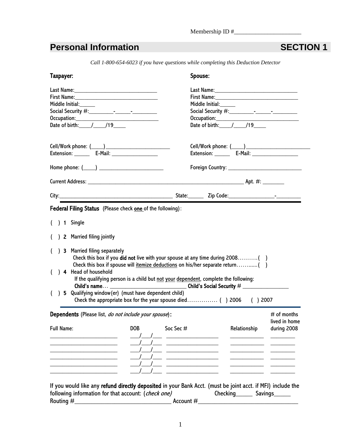#### Membership ID #\_\_\_\_\_\_\_\_\_\_\_\_\_\_\_\_\_\_\_\_\_\_

## **Personal Information SECTION 1**

*Call 1-800-654-6023 if you have questions while completing this Deduction Detector* 

|          | Taxpayer:                                                                                                                                                                                     | Spouse:                                                                  |
|----------|-----------------------------------------------------------------------------------------------------------------------------------------------------------------------------------------------|--------------------------------------------------------------------------|
|          | <b>Middle Initial:</b>                                                                                                                                                                        | Middle Initial:_____<br>Occupation:<br>Date of birth:_____/_____/19_____ |
|          |                                                                                                                                                                                               | Extension: ________ E-Mail: ___________________                          |
|          |                                                                                                                                                                                               |                                                                          |
|          |                                                                                                                                                                                               |                                                                          |
|          |                                                                                                                                                                                               |                                                                          |
|          | <b>Federal Filing Status</b> (Please check <b>one</b> of the following):                                                                                                                      |                                                                          |
|          | $( ) 1$ Single                                                                                                                                                                                |                                                                          |
|          | 2 Married filing jointly                                                                                                                                                                      |                                                                          |
|          | ) 3 Married filing separately<br>Check this box if you <b>did not</b> live with your spouse at any time during 2008()                                                                         |                                                                          |
|          | Check this box if spouse will itemize deductions on his/her separate return<br>( ) 4 Head of household<br>If the qualifying person is a child but not your dependent, complete the following: |                                                                          |
| $\left($ | 5 Qualifying window (er) (must have dependent child)                                                                                                                                          | Child's name $\_\_$<br>( ) 2007                                          |
|          | <b>Dependents</b> (Please list, <i>do not include your spouse</i> ):                                                                                                                          | $#$ of months<br>lived in home                                           |

If you would like any refund directly deposited in your Bank Acct. (must be joint acct. if MFJ) include the following information for that account: (check one) Checking Checking Savings Routing #\_\_\_\_\_\_\_\_\_\_\_\_\_\_\_\_\_\_\_\_\_\_\_\_\_\_\_\_\_ Account #\_\_\_\_\_\_\_\_\_\_\_\_\_\_\_\_\_\_\_\_\_\_\_\_\_\_\_\_\_\_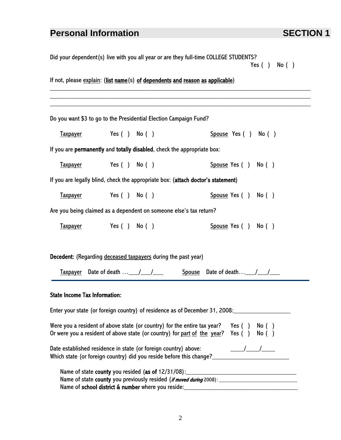# **Personal Information SECTION 1**

| Did your dependent(s) live with you all year or are they full-time COLLEGE STUDENTS?<br>Yes $( )$ No $( )$ |                                                                                  |  |                                                                                                                                                                                                                                                                                                                                                                                                                                                                                                                                                                                         |  |
|------------------------------------------------------------------------------------------------------------|----------------------------------------------------------------------------------|--|-----------------------------------------------------------------------------------------------------------------------------------------------------------------------------------------------------------------------------------------------------------------------------------------------------------------------------------------------------------------------------------------------------------------------------------------------------------------------------------------------------------------------------------------------------------------------------------------|--|
|                                                                                                            | If not, please explain: (list name (s) of dependents and reason as applicable)   |  |                                                                                                                                                                                                                                                                                                                                                                                                                                                                                                                                                                                         |  |
|                                                                                                            | Do you want \$3 to go to the Presidential Election Campaign Fund?                |  |                                                                                                                                                                                                                                                                                                                                                                                                                                                                                                                                                                                         |  |
|                                                                                                            | Taxpayer Yes () No ()                                                            |  | $S$ pouse Yes $( )$ No $( )$                                                                                                                                                                                                                                                                                                                                                                                                                                                                                                                                                            |  |
|                                                                                                            | If you are permanently and totally disabled, check the appropriate box:          |  |                                                                                                                                                                                                                                                                                                                                                                                                                                                                                                                                                                                         |  |
|                                                                                                            | Taxpayer Yes () No ()                                                            |  | Spouse Yes () No ()                                                                                                                                                                                                                                                                                                                                                                                                                                                                                                                                                                     |  |
|                                                                                                            | If you are legally blind, check the appropriate box: (attach doctor's statement) |  |                                                                                                                                                                                                                                                                                                                                                                                                                                                                                                                                                                                         |  |
|                                                                                                            | Taxpayer Yes () No ()                                                            |  | $S$ pouse Yes $( )$ No $( )$                                                                                                                                                                                                                                                                                                                                                                                                                                                                                                                                                            |  |
|                                                                                                            | Are you being claimed as a dependent on someone else's tax return?               |  |                                                                                                                                                                                                                                                                                                                                                                                                                                                                                                                                                                                         |  |
|                                                                                                            | Taxpayer Yes () No ()                                                            |  | Spouse Yes () No ()                                                                                                                                                                                                                                                                                                                                                                                                                                                                                                                                                                     |  |
|                                                                                                            |                                                                                  |  |                                                                                                                                                                                                                                                                                                                                                                                                                                                                                                                                                                                         |  |
|                                                                                                            | <b>Decedent:</b> (Regarding deceased taxpayers during the past year)             |  |                                                                                                                                                                                                                                                                                                                                                                                                                                                                                                                                                                                         |  |
|                                                                                                            |                                                                                  |  | Taxpayer Date of death  11. The Spouse Date of death The Text                                                                                                                                                                                                                                                                                                                                                                                                                                                                                                                           |  |
| <b>State Income Tax Information:</b>                                                                       |                                                                                  |  |                                                                                                                                                                                                                                                                                                                                                                                                                                                                                                                                                                                         |  |
|                                                                                                            |                                                                                  |  | Enter your state (or foreign country) of residence as of December 31, 2008: ________________________                                                                                                                                                                                                                                                                                                                                                                                                                                                                                    |  |
|                                                                                                            | Or were you a resident of above state (or country) for part of the year?         |  | Were you a resident of above state (or country) for the entire tax year? Yes $( )$ No $( )$<br>Yes $( )$ No $( )$                                                                                                                                                                                                                                                                                                                                                                                                                                                                       |  |
|                                                                                                            | Date established residence in state (or foreign country) above:                  |  | $\overline{\phantom{a}}$ $\overline{\phantom{a}}$ $\overline{\phantom{a}}$ $\overline{\phantom{a}}$ $\overline{\phantom{a}}$ $\overline{\phantom{a}}$ $\overline{\phantom{a}}$ $\overline{\phantom{a}}$ $\overline{\phantom{a}}$ $\overline{\phantom{a}}$ $\overline{\phantom{a}}$ $\overline{\phantom{a}}$ $\overline{\phantom{a}}$ $\overline{\phantom{a}}$ $\overline{\phantom{a}}$ $\overline{\phantom{a}}$ $\overline{\phantom{a}}$ $\overline{\phantom{a}}$ $\overline{\$<br>Which state (or foreign country) did you reside before this change?_________________________________ |  |
|                                                                                                            |                                                                                  |  |                                                                                                                                                                                                                                                                                                                                                                                                                                                                                                                                                                                         |  |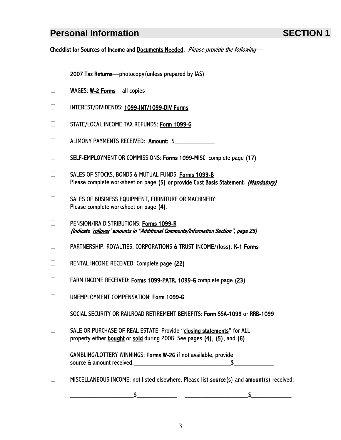## **Personal Information Contract Contract SECTION 1**

Checklist for Sources of Income and Documents Needed: Please provide the following-

- $\Box$  2007 Tax Returns—photocopy (unless prepared by IAS)
- □ WAGES: **W-2 Forms**—all copies
- INTEREST/DIVIDENDS: 1099-INT/1099-DIV Forms
- **STATE/LOCAL INCOME TAX REFUNDS: Form 1099-G**
- $\Box$  ALIMONY PAYMENTS RECEIVED: **Amount:**  $$$
- SELF-EMPLOYMENT OR COMMISSIONS: Forms 1099-MISC complete page (17)
- □ SALES OF STOCKS, BONDS & MUTUAL FUNDS: Forms 1099-B Please complete worksheet on page (5) or provide Cost Basis Statement. *(Mandatory)*
- $\Box$  SALES OF BUSINESS EQUIPMENT, FURNITURE OR MACHINERY: Please complete worksheet on page (4).
- D PENSION/IRA DISTRIBUTIONS: Forms 1099-R (Indicate 'rollover' amounts in "Additional Comments/Information Section", page 25)
- PARTNERSHIP, ROYALTIES, CORPORATIONS & TRUST INCOME/(loss): K-1 Forms
- RENTAL INCOME RECEIVED: Complete page (22)
- EXTERM INCOME RECEIVED: Forms 1099-PATR, 1099-G complete page (23)
- UNEMPLOYMENT COMPENSATION: Form 1099-G
- □ SOCIAL SECURITY OR RAILROAD RETIREMENT BENEFITS: Form SSA-1099 or RRB-1099
- □ SALE OR PURCHASE OF REAL ESTATE: Provide "closing statements" for ALL property either **bought** or sold during 2008. See pages (4), (5), and (6)
- □ GAMBLING/LOTTERY WINNINGS: Forms W-2G if not available, provide source & amount received:\_\_\_\_\_\_\_\_\_\_\_\_\_\_\_\_\_\_\_\_\_\_\_\_\_\_\_\_\_\$\_\_\_\_\_\_\_\_\_\_\_\_
- $\Box$  MISCELLANEOUS INCOME: not listed elsewhere. Please list source (s) and amount (s) received:

 $\sim$  5  $\sim$  5  $\sim$  5  $\sim$  5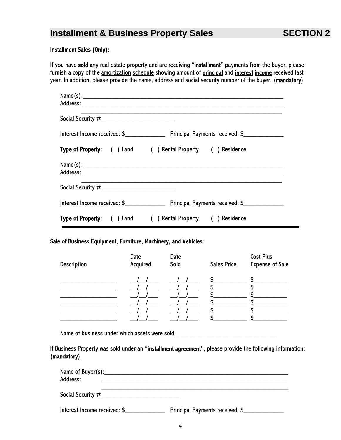## **Installment & Business Property Sales SECTION 2**

#### Installment Sales (Only):

If you have sold any real estate property and are receiving "installment" payments from the buyer, please furnish a copy of the amortization schedule showing amount of principal and interest income received last year. In addition, please provide the name, address and social security number of the buyer. (mandatory)

| Type of Property: ( ) Land ( ) Rental Property ( ) Residence        |
|---------------------------------------------------------------------|
|                                                                     |
|                                                                     |
|                                                                     |
| <b>Type of Property:</b> ( ) Land ( ) Rental Property ( ) Residence |

#### Sale of Business Equipment, Furniture, Machinery, and Vehicles:

|                    | Date     | Date |                    | <b>Cost Plus</b>       |
|--------------------|----------|------|--------------------|------------------------|
| <b>Description</b> | Acquired | Sold | <b>Sales Price</b> | <b>Expense of Sale</b> |
|                    |          |      | S                  | S                      |
|                    |          |      |                    |                        |
|                    |          |      |                    |                        |
|                    |          |      |                    |                        |
|                    |          |      |                    |                        |
|                    |          |      |                    |                        |

Name of business under which assets were sold:

If Business Property was sold under an "installment agreement", please provide the following information: (mandatory)

| Address:                     |                                        |
|------------------------------|----------------------------------------|
| Social Security $\#$ _______ |                                        |
| Interest Income received: \$ | <b>Principal Payments received: \$</b> |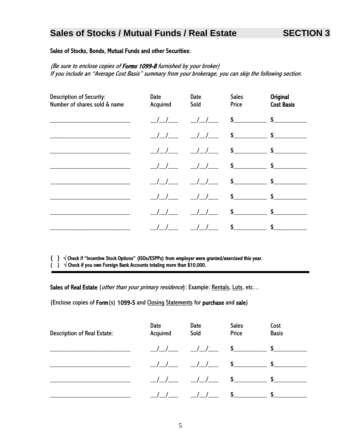## **Sales of Stocks / Mutual Funds / Real Estate SECTION 3**

#### Sales of Stocks, Bonds, Mutual Funds and other Securities:

(Be sure to enclose copies of Forms 1099-B furnished by your broker) If you include an "Average Cost Basis" summary from your brokerage, you can skip the following section.

| <b>Description of Security:</b><br>Number of shares sold & name | Date<br>Acquired | Date<br>Sold  | <b>Sales</b><br>Price | <b>Original</b><br><b>Cost Basis</b>                                                                                                                                                                                                                                                                                |
|-----------------------------------------------------------------|------------------|---------------|-----------------------|---------------------------------------------------------------------------------------------------------------------------------------------------------------------------------------------------------------------------------------------------------------------------------------------------------------------|
|                                                                 |                  | $\frac{1}{2}$ |                       | $\frac{1}{2}$ $\frac{1}{2}$ $\frac{1}{2}$ $\frac{1}{2}$ $\frac{1}{2}$ $\frac{1}{2}$ $\frac{1}{2}$ $\frac{1}{2}$ $\frac{1}{2}$ $\frac{1}{2}$ $\frac{1}{2}$ $\frac{1}{2}$ $\frac{1}{2}$ $\frac{1}{2}$ $\frac{1}{2}$ $\frac{1}{2}$ $\frac{1}{2}$ $\frac{1}{2}$ $\frac{1}{2}$ $\frac{1}{2}$ $\frac{1}{2}$ $\frac{1}{2}$ |
|                                                                 |                  | 1/1           |                       | $\updownarrow$ $\updownarrow$                                                                                                                                                                                                                                                                                       |
|                                                                 |                  | 1/1           |                       | $\frac{1}{2}$ $\frac{1}{2}$ $\frac{1}{2}$ $\frac{1}{2}$ $\frac{1}{2}$ $\frac{1}{2}$ $\frac{1}{2}$ $\frac{1}{2}$ $\frac{1}{2}$ $\frac{1}{2}$ $\frac{1}{2}$ $\frac{1}{2}$ $\frac{1}{2}$ $\frac{1}{2}$ $\frac{1}{2}$ $\frac{1}{2}$ $\frac{1}{2}$ $\frac{1}{2}$ $\frac{1}{2}$ $\frac{1}{2}$ $\frac{1}{2}$ $\frac{1}{2}$ |
|                                                                 |                  |               |                       | $\updownarrow$ $\updownarrow$                                                                                                                                                                                                                                                                                       |
|                                                                 |                  | 1/1           |                       | $\mathsf{s}$ $\mathsf{s}$                                                                                                                                                                                                                                                                                           |
|                                                                 |                  |               |                       | $\mathsf{s}$ $\mathsf{s}$                                                                                                                                                                                                                                                                                           |
|                                                                 |                  |               | \$                    | $\sim$ 5                                                                                                                                                                                                                                                                                                            |
|                                                                 |                  |               | \$                    | \$                                                                                                                                                                                                                                                                                                                  |

( ) √ Check if "Incentive Stock Options" (ISOs/ESPPs) from employer were granted/exercised this year.

( )  $\sqrt{\frac{1}{100}}$  Check if you own Foreign Bank Accounts totaling more than \$10,000.

Sales of Real Estate (other than your primary residence): Example: Rentals, Lots, etc...

(Enclose copies of Form(s) 1099-S and Closing Statements for purchase and sale)

| <b>Description of Real Estate:</b> | Date<br>Acquired | Date<br>Sold  | <b>Sales</b><br>Price                        | Cost<br><b>Basis</b> |  |
|------------------------------------|------------------|---------------|----------------------------------------------|----------------------|--|
|                                    |                  |               | $\frac{1}{\sqrt{2}}$ $\frac{1}{\sqrt{2}}$ \$ | $\sim$               |  |
|                                    |                  |               | $11$ $11$ \$ \$                              |                      |  |
|                                    |                  | $\frac{1}{2}$ | $\sim$ $\sim$                                | $\mathbf{s}$         |  |
|                                    |                  |               | $\sim$                                       | \$                   |  |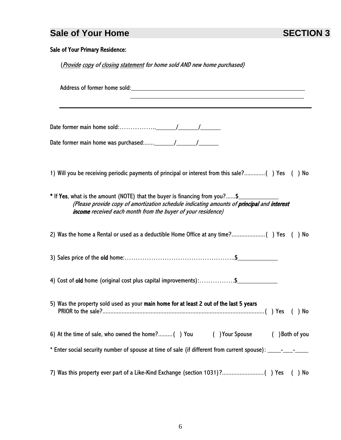## **Sale of Your Home SECTION 3**

### Sale of Your Primary Residence:

(Provide copy of closing statement for home sold AND new home purchased)

| 1) Will you be receiving periodic payments of principal or interest from this sale?() Yes () No                                                                                                                                           |
|-------------------------------------------------------------------------------------------------------------------------------------------------------------------------------------------------------------------------------------------|
| * If Yes, what is the amount (NOTE) that the buyer is financing from you?\$<br>(Please provide copy of amortization schedule indicating amounts of principal and interest<br>income received each month from the buyer of your residence) |
| No                                                                                                                                                                                                                                        |
|                                                                                                                                                                                                                                           |
| 4) Cost of old home (original cost plus capital improvements):\$                                                                                                                                                                          |
| 5) Was the property sold used as your main home for at least 2 out of the last 5 years<br>No                                                                                                                                              |
| 6) At the time of sale, who owned the home?() You<br>( ) Your Spouse<br>( ) Both of you<br>* Enter social security number of spouse at time of sale (if different from current spouse): _____-_______                                     |
| 7) Was this property ever part of a Like-Kind Exchange (section 1031)?() Yes<br>$( )$ No                                                                                                                                                  |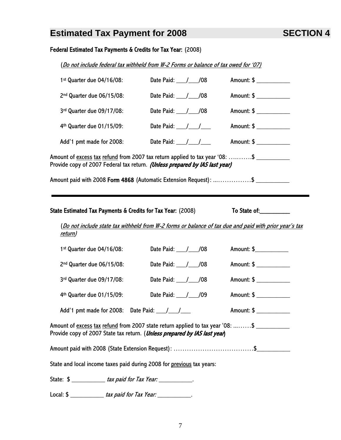## **Estimated Tax Payment for 2008 SECTION 4**

### Federal Estimated Tax Payments & Credits for Tax Year: (2008)

(Do not include federal tax withheld from W-2 Forms or balance of tax owed for '07)

| 1st Quarter due 04/16/08:                                                                                                                                                                                                                                                                                             | Date Paid: ___/___/08                                                                                  | Amount: \$ ____________  |  |
|-----------------------------------------------------------------------------------------------------------------------------------------------------------------------------------------------------------------------------------------------------------------------------------------------------------------------|--------------------------------------------------------------------------------------------------------|--------------------------|--|
| 2nd Quarter due 06/15/08:                                                                                                                                                                                                                                                                                             | Date Paid: ___/___/08                                                                                  | Amount: \$ ___________   |  |
| 3rd Quarter due 09/17/08:                                                                                                                                                                                                                                                                                             | Date Paid: ___/___/08                                                                                  | Amount: \$ ___________   |  |
| 4 <sup>th</sup> Quarter due 01/15/09:                                                                                                                                                                                                                                                                                 | Date Paid: $\frac{1}{\sqrt{1-\frac{1}{2}}}$                                                            | Amount: \$ ____________  |  |
| Add'1 pmt made for 2008:                                                                                                                                                                                                                                                                                              | Date Paid: $\frac{1}{\sqrt{1-\frac{1}{2}}}$                                                            | Amount: \$ _____________ |  |
| Amount of <u>excess tax refund</u> from 2007 tax return applied to tax year '08: \$<br>Provide copy of 2007 Federal tax return. (Unless prepared by IAS last year)                                                                                                                                                    |                                                                                                        |                          |  |
| Amount paid with 2008 Form 4868 (Automatic Extension Request): \$                                                                                                                                                                                                                                                     |                                                                                                        |                          |  |
| State Estimated Tax Payments & Credits for Tax Year: (2008)<br><u>return)</u>                                                                                                                                                                                                                                         | (Do not include state tax withheld from W-2 forms or balance of tax due and paid with prior year's tax |                          |  |
| 1st Quarter due 04/16/08:                                                                                                                                                                                                                                                                                             | Date Paid: 108                                                                                         | Amount: \$               |  |
| 2nd Quarter due 06/15/08:                                                                                                                                                                                                                                                                                             | Date Paid: ___/___/08                                                                                  | Amount: \$               |  |
| 3rd Quarter due 09/17/08:                                                                                                                                                                                                                                                                                             | Date Paid: // /08                                                                                      | Amount: \$ ___________   |  |
| 4 <sup>th</sup> Quarter due 01/15/09:                                                                                                                                                                                                                                                                                 | Date Paid: ___/___/09                                                                                  | Amount: \$               |  |
| Add'1 pmt made for 2008: Date Paid: $\frac{1}{\sqrt{2}}$                                                                                                                                                                                                                                                              |                                                                                                        | Amount: \$ _________     |  |
| Amount of excess tax refund from 2007 state return applied to tax year '08: \$<br>Provide copy of 2007 State tax return. (Unless prepared by IAS last year)                                                                                                                                                           |                                                                                                        |                          |  |
|                                                                                                                                                                                                                                                                                                                       |                                                                                                        |                          |  |
| State and local income taxes paid during 2008 for previous tax years:                                                                                                                                                                                                                                                 |                                                                                                        |                          |  |
| State: \$ _____________ tax paid for Tax Year: ____________.                                                                                                                                                                                                                                                          |                                                                                                        |                          |  |
| Local: $\frac{1}{2}$ $\frac{1}{2}$ $\frac{1}{2}$ $\frac{1}{2}$ $\frac{1}{2}$ $\frac{1}{2}$ $\frac{1}{2}$ $\frac{1}{2}$ $\frac{1}{2}$ $\frac{1}{2}$ $\frac{1}{2}$ $\frac{1}{2}$ $\frac{1}{2}$ $\frac{1}{2}$ $\frac{1}{2}$ $\frac{1}{2}$ $\frac{1}{2}$ $\frac{1}{2}$ $\frac{1}{2}$ $\frac{1}{2}$ $\frac{1}{2}$ $\frac{$ |                                                                                                        |                          |  |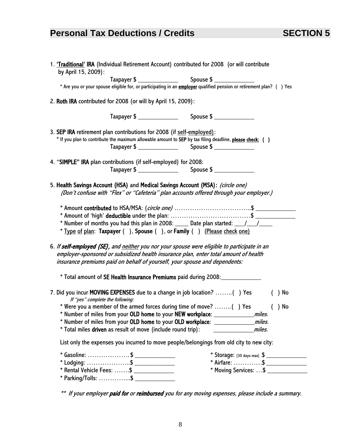## **Personal Tax Deductions / Credits SECTION 5**

| 1. 'Traditional' IRA (Individual Retirement Account) contributed for 2008 (or will contribute<br>by April 15, 2009):                                                                                                                                               |                                         |
|--------------------------------------------------------------------------------------------------------------------------------------------------------------------------------------------------------------------------------------------------------------------|-----------------------------------------|
|                                                                                                                                                                                                                                                                    | $Spouse $ \_$                           |
|                                                                                                                                                                                                                                                                    |                                         |
| 2. Roth IRA contributed for 2008 (or will by April 15, 2009):                                                                                                                                                                                                      |                                         |
|                                                                                                                                                                                                                                                                    |                                         |
| 3. SEP IRA retirement plan contributions for 2008 (if self-employed):<br>* If you plan to contribute the maximum allowable amount to SEP by tax filing deadline, please check: ()                                                                                  |                                         |
|                                                                                                                                                                                                                                                                    |                                         |
| 4. "SIMPLE" IRA plan contributions (if self-employed) for 2008:                                                                                                                                                                                                    |                                         |
|                                                                                                                                                                                                                                                                    |                                         |
| 5. Health Savings Account (HSA) and Medical Savings Account (MSA): (circle one)<br>(Don't confuse with "Flex" or "Cafeteria" plan accounts offered through your employer.)                                                                                         |                                         |
| * Number of months you had this plan in 2008: _____ Date plan started: ___/___/____<br>* Type of plan: Taxpayer (), Spouse (), or Family () (Please check one)                                                                                                     |                                         |
| 6. If self-employed (SE), and neither you nor your spouse were eligible to participate in an<br>employer-sponsored or subsidized health insurance plan, enter total amount of health<br>insurance premiums paid on behalf of yourself, your spouse and dependents: |                                         |
| * Total amount of SE Health Insurance Premiums paid during 2008:________________                                                                                                                                                                                   |                                         |
| 7. Did you incur MOVING EXPENSES due to a change in job location? () Yes<br>If "yes" complete the following:                                                                                                                                                       | $( )$ No                                |
| * Were you a member of the armed forces during time of move? () Yes                                                                                                                                                                                                | $( )$ No                                |
| * Number of miles from your OLD home to your NEW workplace:                                                                                                                                                                                                        | miles.                                  |
| * Number of miles from your OLD home to your OLD workplace: _____________                                                                                                                                                                                          | miles.                                  |
| * Total miles driven as result of move (include round trip):                                                                                                                                                                                                       | miles.                                  |
| List only the expenses you incurred to move people/belongings from old city to new city:                                                                                                                                                                           |                                         |
| * Gasoline: \$ ________________                                                                                                                                                                                                                                    | * Storage: $(30 \text{ days max})$ .\$  |
|                                                                                                                                                                                                                                                                    |                                         |
|                                                                                                                                                                                                                                                                    |                                         |
| $*$ Rental Vehicle Fees: \$                                                                                                                                                                                                                                        | * Moving Services:  \$ ________________ |

\*\* If your employer paid for or reimbursed you for any moving expenses, please include a summary.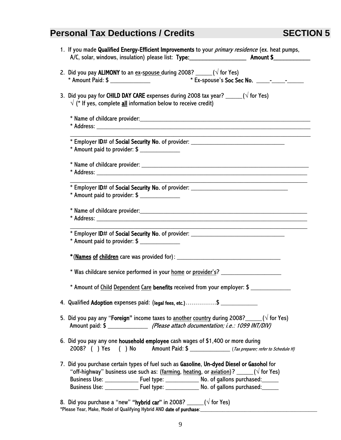## **Personal Tax Deductions / Credits SECTION 5**

| 1. If you made Qualified Energy-Efficient Improvements to your <i>primary residence</i> (ex. heat pumps,<br>A/C, solar, windows, insulation) please list: Type: ____________________________ Amount \$___________                                                                                                                                                                          |
|--------------------------------------------------------------------------------------------------------------------------------------------------------------------------------------------------------------------------------------------------------------------------------------------------------------------------------------------------------------------------------------------|
|                                                                                                                                                                                                                                                                                                                                                                                            |
| 2. Did you pay <b>ALIMONY</b> to an $ex$ -spouse during 2008? _____( $\sqrt{6}$ for Yes)                                                                                                                                                                                                                                                                                                   |
| 3. Did you pay for CHILD DAY CARE expenses during 2008 tax year? $\frac{1}{\sqrt{5}}$ ( $\sqrt{5}$ for Yes)<br>$\sqrt{\binom{*}{}}$ If yes, complete all information below to receive credit)                                                                                                                                                                                              |
|                                                                                                                                                                                                                                                                                                                                                                                            |
|                                                                                                                                                                                                                                                                                                                                                                                            |
| * Employer ID# of Social Security No. of provider: _____________________________<br>$*$ Amount paid to provider: $$$ ______________                                                                                                                                                                                                                                                        |
|                                                                                                                                                                                                                                                                                                                                                                                            |
| * Employer ID# of Social Security No. of provider: _____________________________<br>$*$ Amount paid to provider: \$                                                                                                                                                                                                                                                                        |
|                                                                                                                                                                                                                                                                                                                                                                                            |
| * Employer ID# of Social Security No. of provider: _____________________________                                                                                                                                                                                                                                                                                                           |
|                                                                                                                                                                                                                                                                                                                                                                                            |
| * Was childcare service performed in your home or provider's? __________________                                                                                                                                                                                                                                                                                                           |
| * Amount of Child Dependent Care benefits received from your employer: \$                                                                                                                                                                                                                                                                                                                  |
| 4. Qualified Adoption expenses paid: (legal fees, etc.)\$                                                                                                                                                                                                                                                                                                                                  |
| 5. Did you pay any " <b>Foreign"</b> income taxes to another country during 2008? _____( $\sqrt{ }$ for Yes)                                                                                                                                                                                                                                                                               |
| 6. Did you pay any one household employee cash wages of \$1,400 or more during                                                                                                                                                                                                                                                                                                             |
| 7. Did you purchase certain types of fuel such as Gasoline, Un-dyed Diesel or Gasohol for<br>"off-highway" business use such as: (farming, heating, or aviation)? _____( $\sqrt{ }$ for Yes)<br>Business Use: ________________ Fuel type: ________________ No. of gallons purchased: ______<br>Business Use: ________________ Fuel type: ________________ No. of gallons purchased: ______ |
| 8. Did you purchase a "new" <b>"hybrid car"</b> in 2008? _____( $\sqrt{}$ for Yes)                                                                                                                                                                                                                                                                                                         |

\*Please Year, Make, Model of Qualifying Hybrid AND date of purchase:\_\_\_\_\_\_\_\_\_\_\_\_\_\_\_\_\_\_\_\_\_\_\_\_\_\_\_\_\_\_\_\_\_\_\_\_\_\_\_\_\_\_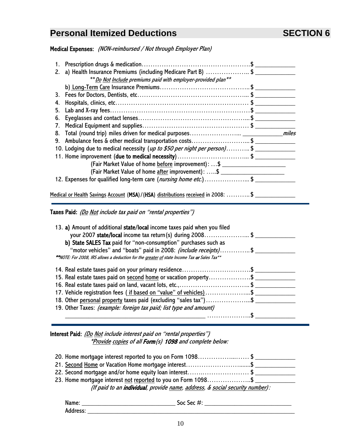## **Personal Itemized Deductions SECTION 6**

Medical Expenses: (NON-reimbursed / Not through Employer Plan)

| 1.                                                            |                                                                              |
|---------------------------------------------------------------|------------------------------------------------------------------------------|
|                                                               | 2. a) Health Insurance Premiums (including Medicare Part B) \$               |
| ** Do Not Include premiums paid with employer-provided plan** |                                                                              |
|                                                               |                                                                              |
|                                                               |                                                                              |
| 4.                                                            |                                                                              |
| 5.                                                            |                                                                              |
| 6.                                                            |                                                                              |
| 7.                                                            |                                                                              |
| 8.                                                            |                                                                              |
|                                                               |                                                                              |
|                                                               | 9. Ambulance fees & other medical transportation costs\$                     |
|                                                               | 10. Lodging due to medical necessity (up to \$50 per night per person)\$     |
|                                                               | 11. Home improvement (due to medical necessity)\$                            |
|                                                               | (Fair Market Value of home before improvement): \$                           |
|                                                               | (Fair Market Value of home after improvement): \$ __________________________ |
|                                                               | 12. Expenses for qualified long-term care ( <i>nursing home etc.</i> )\$     |
|                                                               |                                                                              |

Taxes Paid: (Do Not include tax paid on "rental properties")

| 13. a) Amount of additional state/local income taxes paid when you filed                    |
|---------------------------------------------------------------------------------------------|
| your 2007 state/local income tax return(s) during 2008\$                                    |
| b) State SALES Tax paid for "non-consumption" purchases such as                             |
| "motor vehicles" and "boats" paid in 2008: <i>(include receipts)</i> \$                     |
| **NOTE: For 2008, IRS allows a deduction for the greater of state Income Tax or Sales Tax** |
| 14. Real estate taxes paid on your primary residence\$                                      |
| 15. Real estate taxes paid on second home or vacation property\$                            |
| 16. Real estate taxes paid on land, vacant lots, etc.,\$                                    |
| 17. Vehicle registration fees (if based on "value" of vehicles)\$                           |
| 18. Other personal property taxes paid (excluding "sales tax")\$                            |
| 19. Other Taxes: (example: foreign tax paid; list type and amount)                          |
|                                                                                             |

Interest Paid: (Do Not include interest paid on "rental properties") \*Provide copies of all Form(s) 1098 and complete below:

| 20. Home mortgage interest reported to you on Form 1098\$                    |
|------------------------------------------------------------------------------|
| 21. Second Home or Vacation Home mortgage interest\$                         |
| 22. Second mortgage and/or home equity loan interest\$                       |
| 23. Home mortgage interest not reported to you on Form 1098\$                |
| (If paid to an individual, provide name, address, & social security number): |

| Name:    | Soc Sec #: |
|----------|------------|
| Address: |            |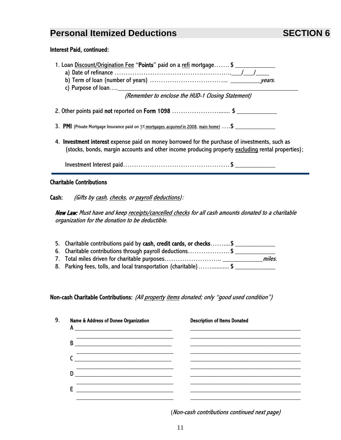## **Personal Itemized Deductions SECTION 6**

#### Interest Paid, continued:

- 1. Loan Discount/Origination Fee "Points" paid on a refi mortgage....... \$
	- a) Date of refinance …………………………………………<u>……/\_\_\_/\_\_\_</u>
	- b) Term of loan (number of years)  $\dots\dots\dots\dots\dots\dots\dots\dots\dots\dots\dots\dots$
	- c) Purpose of loan....\_

(Remember to enclose the HUD-1 Closing Statement)

- 2. Other points paid not reported on Form 1098 ................................\$
- 3. PMI (Private Mortgage Insurance paid on  $1<sup>st</sup>$  mortgages *acquired* in 2008, main home)  $\dots$ \$
- 4. Investment interest expense paid on money borrowed for the purchase of investments, such as (stocks, bonds, margin accounts and other income producing property excluding rental properties);

Investment Interest paid………………………………………… \$ \_\_\_\_\_\_\_\_\_\_\_\_

#### Charitable Contributions

Cash: (Gifts by cash, checks, or payroll deductions):

New Law: Must have and keep receipts/cancelled checks for all cash amounts donated to a charitable organization for the donation to be deductible.

| 5. Charitable contributions paid by cash, credit cards, or checks\$ |        |
|---------------------------------------------------------------------|--------|
| 6. Charitable contributions through payroll deductions\$            |        |
|                                                                     | miles. |
| 8. Parking fees, tolls, and local transportation (charitable)\$     |        |

#### Non-cash Charitable Contributions: (All property items donated; only "good used condition")

| 9. | Name & Address of Donee Organization<br>A<br><u> 1989 - Johann Barbara, martin amerikan basal dan berasal dalam basal dalam basal dalam basal dalam basal dala</u> | <b>Description of Items Donated</b> |
|----|--------------------------------------------------------------------------------------------------------------------------------------------------------------------|-------------------------------------|
|    | B<br><u> 1989 - John Stein, Amerikaansk politiker (</u>                                                                                                            |                                     |
|    |                                                                                                                                                                    |                                     |
|    | D                                                                                                                                                                  |                                     |
|    | F                                                                                                                                                                  |                                     |
|    |                                                                                                                                                                    |                                     |

(Non-cash contributions continued next page)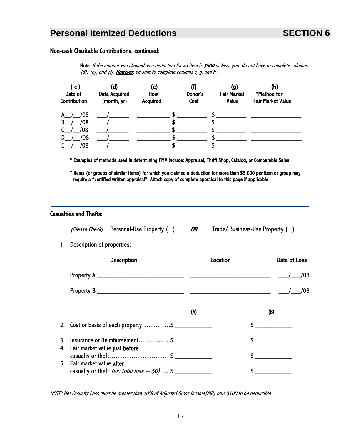## **Personal Itemized Deductions SECTION 6**

#### Non-cash Charitable Contributions, continued:

Note: If the amount you claimed as a deduction for an item is \$500 or less, you do not have to complete columns  $(d)$ ,  $(e)$ , and  $(f)$ . However, be sure to complete columns c, g, and h.

| ( c i<br>Date of<br>Contribution | (d)<br><b>Date Acquired</b><br>(month, yr) | (e)<br>How<br><b>Acquired</b> | Donor's<br>Cost | (g)<br><b>Fair Market</b><br><b>Value</b> | (h)<br>*Method for<br><b>Fair Market Value</b> |
|----------------------------------|--------------------------------------------|-------------------------------|-----------------|-------------------------------------------|------------------------------------------------|
| /08<br>A /                       |                                            |                               |                 |                                           |                                                |
| /08<br>B.                        |                                            |                               |                 |                                           |                                                |
| /08                              |                                            |                               |                 |                                           |                                                |
| /08<br>D.                        |                                            |                               |                 |                                           |                                                |
| /08<br>F.                        |                                            |                               |                 |                                           |                                                |

\* Examples of methods used in determining FMV include: Appraisal, Thrift Shop, Catalog, or Comparable Sales

 \* Items (or groups of similar items) for which you claimed a deduction for more than \$5,000 per item or group may require a "certified written appraisal". Attach copy of complete appraisal to this page if applicable.

#### Casualties and Thefts:

|                                   | <i>(Please Check)</i> Personal-Use Property () | OR | Trade/Business-Use Property () |              |
|-----------------------------------|------------------------------------------------|----|--------------------------------|--------------|
| <b>Description of properties:</b> |                                                |    |                                |              |
|                                   | <b>Description</b>                             |    | <b>Location</b>                | Date of Loss |
| Property $A$                      |                                                |    |                                | 708          |
| <b>Property B</b>                 |                                                |    |                                | /08          |

|                                                                                  | (A) | (B) |
|----------------------------------------------------------------------------------|-----|-----|
| 2. Cost or basis of each property\$                                              |     |     |
| 3. Insurance or Reimbursement\$<br>4. Fair market value just before              |     |     |
| casualty or theft\$                                                              |     |     |
| 5. Fair market value after<br>casualty or theft <i>(ex: total loss = \$0)</i> \$ |     |     |

NOTE: Net Casualty Loss must be greater than 10% of Adjusted Gross Income(AGI) plus \$100 to be deductible.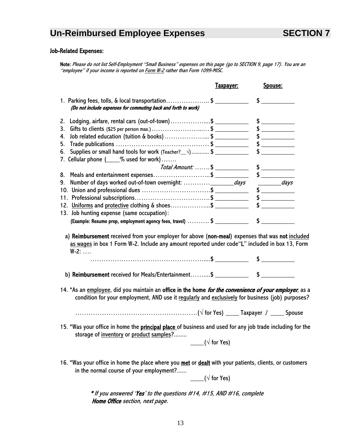## **Un-Reimbursed Employee Expenses SECTION 7**

### Job-Related Expenses:

 Note: Please do not list Self-Employment "Small Business" expenses on this page (go to SECTION 9, page 17). You are an "employee" if your income is reported on Form W-2 rather than Form 1099-MISC.

|                                                                                                                                                                                                                             | <u>Taxpayer:</u>     | Spouse:            |
|-----------------------------------------------------------------------------------------------------------------------------------------------------------------------------------------------------------------------------|----------------------|--------------------|
| 1. Parking fees, tolls, & local transportation\$<br>(Do not include expenses for commuting back and forth to work)                                                                                                          |                      |                    |
|                                                                                                                                                                                                                             |                      |                    |
|                                                                                                                                                                                                                             |                      |                    |
| Gifts to clients (\$25 per person max.) \$<br>3.                                                                                                                                                                            |                      |                    |
| 4.                                                                                                                                                                                                                          |                      |                    |
| 5.                                                                                                                                                                                                                          |                      |                    |
| Supplies or small hand tools for work (Teacher? $\Diamond$ ) \$<br>6.                                                                                                                                                       |                      | $\sim$             |
| 7. Cellular phone (____% used for work)                                                                                                                                                                                     |                      |                    |
|                                                                                                                                                                                                                             |                      |                    |
| 8. Meals and entertainment expenses\$                                                                                                                                                                                       |                      |                    |
| 9.                                                                                                                                                                                                                          |                      | $\frac{1}{1}$ days |
|                                                                                                                                                                                                                             |                      |                    |
|                                                                                                                                                                                                                             |                      |                    |
| 12. Uniforms and protective clothing & shoes\$                                                                                                                                                                              |                      |                    |
| 13. Job hunting expense (same occupation):<br>(Example: Resume prep, employment agency fees, travel)  \$                                                                                                                    |                      |                    |
| a) Reimbursement received from your employer for above (non-meal) expenses that was not included<br>as wages in box 1 Form W-2. Include any amount reported under code "L" included in box 13, Form<br>$W-2: \ldots$        |                      |                    |
|                                                                                                                                                                                                                             |                      |                    |
|                                                                                                                                                                                                                             |                      |                    |
|                                                                                                                                                                                                                             |                      |                    |
| condition for your employment, AND use it regularly and exclusively for business (job) purposes?                                                                                                                            |                      |                    |
|                                                                                                                                                                                                                             |                      |                    |
| 14. *As an employee, did you maintain an office in the home <i>for the convenience of your employer</i> , as a<br>15. *Was your office in home the principal place of business and used for any job trade including for the |                      |                    |
| storage of inventory or product samples?                                                                                                                                                                                    | ( $\sqrt{}$ for Yes) |                    |

 $\rule{1em}{0.15mm}$  ( $\sqrt{}$  for Yes)

\* If you answered 'Yes' to the questions #14, #15, AND #16, complete Home Office section, next page.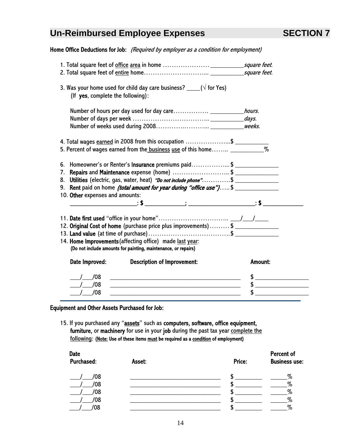## **Un-Reimbursed Employee Expenses SECTION 7**

Home Office Deductions for Job: (Required by employer as a condition for employment)

| 3. Was your home used for child day care business? $\rule{1em}{0.15mm}$ ( $\sqrt{6}$ for Yes)<br>(If yes, complete the following):                                                                                                                                                                               |                |
|------------------------------------------------------------------------------------------------------------------------------------------------------------------------------------------------------------------------------------------------------------------------------------------------------------------|----------------|
|                                                                                                                                                                                                                                                                                                                  |                |
|                                                                                                                                                                                                                                                                                                                  |                |
| 4. Total wages earned in 2008 from this occupation \$<br>5. Percent of wages earned from the business use of this home ___________%                                                                                                                                                                              |                |
| 6. Homeowner's or Renter's Insurance premiums paid\$<br>7. Repairs and Maintenance expense (home) \$<br>8. Utilities (electric, gas, water, heat) "Do not include phone"\$ ____________________<br>9. Rent paid on home <i>(total amount for year during "office use")</i> \$<br>10. Other expenses and amounts: |                |
| 12. Original Cost of home (purchase price plus improvements)\$<br>14. Home Improvements (affecting office) made last year:<br>(Do not include amounts for painting, maintenance, or repairs)                                                                                                                     |                |
| Date Improved:<br><b>Description of Improvement:</b>                                                                                                                                                                                                                                                             | <b>Amount:</b> |
| /08                                                                                                                                                                                                                                                                                                              |                |
| /08<br><u> 1989 - Johann Barbara, margaret eta idazlea (h. 1989).</u>                                                                                                                                                                                                                                            |                |
| $/$ /08                                                                                                                                                                                                                                                                                                          |                |

### Equipment and Other Assets Purchased for Job:

15. If you purchased any "assets" such as computers, software, office equipment, furniture, or machinery for use in your job during the past tax year complete the following: (Note: Use of these items must be required as a condition of employment)

|        |        | Percent of           |
|--------|--------|----------------------|
| Asset: | Price: | <b>Business use:</b> |
|        |        | $\%$                 |
|        |        | %                    |
|        |        | %                    |
|        |        | %                    |
|        |        | %                    |
|        |        |                      |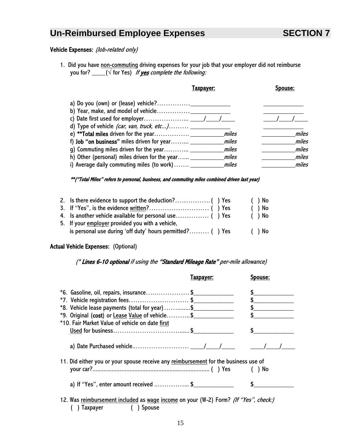## **Un-Reimbursed Employee Expenses SECTION 7**

### Vehicle Expenses: (Job-related only)

1. Did you have non-commuting driving expenses for your job that your employer did not reimburse you for? \_\_\_\_\_\_( $\sqrt{ }$  for Yes) If <u>yes</u> complete the following:

|                                                    | Faxpaver: |       |
|----------------------------------------------------|-----------|-------|
|                                                    |           |       |
|                                                    |           |       |
|                                                    |           |       |
| d) Type of vehicle (car, van, truck, etc)          |           |       |
|                                                    | miles     | miles |
| f) <b>Job</b> "on business" miles driven for year  | miles     | miles |
|                                                    | miles     | miles |
| h) Other (personal) miles driven for the year $\_$ | miles     | miles |
| i) Average daily commuting miles (to work)         | miles     | miles |

#### \*\*("Total Miles" refers to personal, business, and commuting miles combined driven last year)

|                                                           |  | ( ) No   |
|-----------------------------------------------------------|--|----------|
|                                                           |  | $( )$ No |
|                                                           |  | ( ) No   |
| 5. If your employer provided you with a vehicle,          |  |          |
| is personal use during 'off duty' hours permitted? () Yes |  | ( ) No   |

#### Actual Vehicle Expenses: (Optional)

#### (\* Lines 6-10 optional if using the "Standard Mileage Rate" per-mile allowance)

|                                                                                                             | <b>Taxpayer:</b> | Spouse: |
|-------------------------------------------------------------------------------------------------------------|------------------|---------|
| $*$ 6. Gasoline, oil, repairs, insurance\$                                                                  |                  |         |
| $*7.$ Vehicle registration fees\$                                                                           |                  |         |
| *8. Vehicle lease payments (total for year)\$                                                               |                  |         |
| *9. Original (cost) or Lease Value of vehicle\$                                                             |                  |         |
| *10. Fair Market Value of vehicle on date first                                                             |                  |         |
|                                                                                                             |                  |         |
| 11. Did either you or your spouse receive any reimbursement for the business use of                         |                  |         |
| a) If "Yes", enter amount received \$                                                                       |                  |         |
| 12. Was reimbursement included as wage income on your (W-2) Form? (If "Yes", check:)<br>Taxpayer ( ) Spouse |                  |         |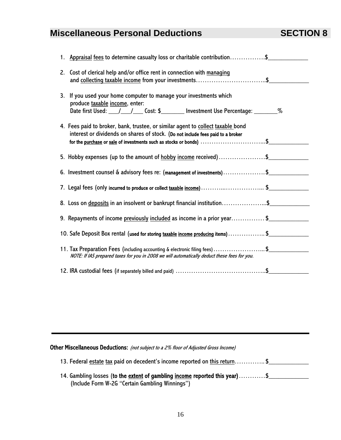# **Miscellaneous Personal Deductions SECTION 8**

|                                                                                                                                                                    | 1. Appraisal fees to determine casualty loss or charitable contribution\$       |  |
|--------------------------------------------------------------------------------------------------------------------------------------------------------------------|---------------------------------------------------------------------------------|--|
| 2. Cost of clerical help and/or office rent in connection with managing                                                                                            |                                                                                 |  |
| 3. If you used your home computer to manage your investments which<br>produce taxable income, enter:                                                               |                                                                                 |  |
| 4. Fees paid to broker, bank, trustee, or similar agent to collect taxable bond<br>interest or dividends on shares of stock. (Do not include fees paid to a broker |                                                                                 |  |
|                                                                                                                                                                    | 5. Hobby expenses (up to the amount of <u>hobby income</u> received)\$          |  |
|                                                                                                                                                                    | 6. Investment counsel & advisory fees re: (management of investments)\$         |  |
|                                                                                                                                                                    | 7. Legal fees (only incurred to produce or collect taxable income)\$            |  |
|                                                                                                                                                                    | 8. Loss on deposits in an insolvent or bankrupt financial institution\$         |  |
|                                                                                                                                                                    | 9. Repayments of income previously included as income in a prior year\$         |  |
|                                                                                                                                                                    | 10. Safe Deposit Box rental (used for storing taxable income producing items)\$ |  |
| NOTE: If IAS prepared taxes for you in 2008 we will automatically deduct these fees for you.                                                                       | 11. Tax Preparation Fees (including accounting & electronic filing fees)\$      |  |
|                                                                                                                                                                    |                                                                                 |  |

Other Miscellaneous Deductions: (not subject to a 2% floor of Adjusted Gross Income)

| 13. Federal estate tax paid on decedent's income reported on this return\$ |  |
|----------------------------------------------------------------------------|--|
|----------------------------------------------------------------------------|--|

| 14. Gambling losses (to the extent of gambling income reported this year)\$ |  |
|-----------------------------------------------------------------------------|--|
| (Include Form W-2G "Certain Gambling Winnings")                             |  |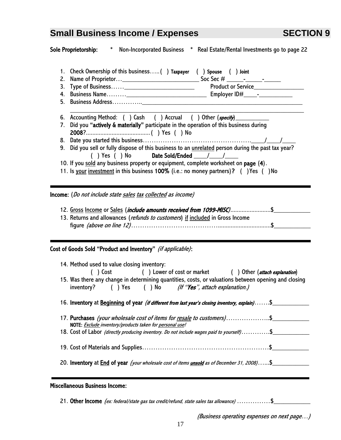|          | <b>Sole Proprietorship:</b><br>$\ast$<br>Non-Incorporated Business * Real Estate/Rental Investments go to page 22                                                                                                                                                                                                                                                                                                                                                                                       |  |  |  |  |
|----------|---------------------------------------------------------------------------------------------------------------------------------------------------------------------------------------------------------------------------------------------------------------------------------------------------------------------------------------------------------------------------------------------------------------------------------------------------------------------------------------------------------|--|--|--|--|
| 2.<br>3. | 1. Check Ownership of this business() Taxpayer () Spouse () Joint<br>Product or Service___________________                                                                                                                                                                                                                                                                                                                                                                                              |  |  |  |  |
|          | 6. Accounting Method: () Cash () Accrual () Other (specify)<br>7. Did you "actively & materially" participate in the operation of this business during<br>9. Did you sell or fully dispose of this business to an <i>unrelated</i> person during the past tax year?<br>() Yes () No Date Sold/Ended $\frac{1}{\sqrt{2}}$<br>10. If you sold any business property or equipment, complete worksheet on page (4).<br>11. Is your investment in this business 100% (i.e.: no money partners)? () Yes () No |  |  |  |  |
|          | Income: (Do not include state sales tax collected as income)<br>12. Gross Income or Sales (include amounts received from 1099-MISC)\$<br>13. Returns and allowances (refunds to customers) if included in Gross Income                                                                                                                                                                                                                                                                                  |  |  |  |  |
|          | Cost of Goods Sold "Product and Inventory" (if applicable):                                                                                                                                                                                                                                                                                                                                                                                                                                             |  |  |  |  |
|          | 14. Method used to value closing inventory:<br>() Cost () Lower of cost or market () Other (attach explanation)<br>15. Was there any change in determining quantities, costs, or valuations between opening and closing<br>inventory? $( )$ Yes $( )$ No $($ <i>If "Yes", attach explanation.)</i>                                                                                                                                                                                                      |  |  |  |  |
|          | 16. Inventory at Beginning of year <i>(if different from last year's closing inventory, explain)</i> \$                                                                                                                                                                                                                                                                                                                                                                                                 |  |  |  |  |
|          | 17. Purchases (your wholesale cost of items for resale to customers)\$<br>NOTE: Exclude inventory/products taken for personal use!<br>18. Cost of Labor (directly producing inventory. Do not include wages paid to yourself)\$                                                                                                                                                                                                                                                                         |  |  |  |  |
|          |                                                                                                                                                                                                                                                                                                                                                                                                                                                                                                         |  |  |  |  |
|          | 20. Inventory at End of year (your wholesale cost of items <i>unsold</i> as of December 31, 2008)\$                                                                                                                                                                                                                                                                                                                                                                                                     |  |  |  |  |
|          | callangerra Duainean Ingenna:                                                                                                                                                                                                                                                                                                                                                                                                                                                                           |  |  |  |  |

#### Miscellaneous Business Income:

21. Other Income (ex: federal/state gas tax credit/refund, state sales tax allowance) ...............\$

(Business operating expenses on next page…)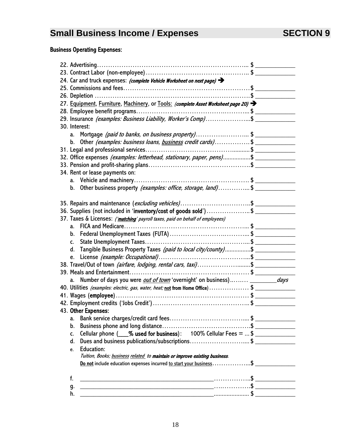### Business Operating Expenses:

| 24. Car and truck expenses: (complete Vehicle Worksheet on next page) >                           |  |
|---------------------------------------------------------------------------------------------------|--|
|                                                                                                   |  |
| 26. Depletion                                                                                     |  |
| 27. Equipment, Furniture, Machinery, or Tools: (complete Asset Worksheet page 20)                 |  |
|                                                                                                   |  |
| 29. Insurance (examples: Business Liability, Worker's Comp)\$                                     |  |
| 30. Interest:                                                                                     |  |
| Mortgage (paid to banks, on business property)\$<br>a.                                            |  |
| Other (examples: business loans, business credit cards)\$<br>b.                                   |  |
|                                                                                                   |  |
| 32. Office expenses (examples: letterhead, stationary, paper, pens)\$                             |  |
|                                                                                                   |  |
| 34. Rent or lease payments on:                                                                    |  |
|                                                                                                   |  |
| Other business property <i>(examples: office, storage, land)</i> \$<br>b.                         |  |
|                                                                                                   |  |
| 35. Repairs and maintenance (excluding vehicles)\$                                                |  |
| 36. Supplies (not included in 'inventory/cost of goods sold')\$                                   |  |
| 37. Taxes & Licenses: ('matching' payroll taxes, paid on behalf of employees)                     |  |
|                                                                                                   |  |
|                                                                                                   |  |
| C.                                                                                                |  |
| Tangible Business Property Taxes (paid to local city/county)\$<br>d.                              |  |
| e.                                                                                                |  |
| 38. Travel/Out of town <i>(airfare, lodging, rental cars, taxi)</i> \$                            |  |
|                                                                                                   |  |
| Number of days you were <i>out of town</i> 'overnight' on business) __________ <i>days</i><br>a.  |  |
| 40. Utilities (examples: electric, gas, water, heat; not from Home Office)\$                      |  |
|                                                                                                   |  |
|                                                                                                   |  |
| 43. Other Expenses:                                                                               |  |
| a.                                                                                                |  |
| b.                                                                                                |  |
| Cellular phone $($ _% used for business): 100% Cellular Fees =  \$<br>C.                          |  |
| Dues and business publications/subscriptions\$<br>d.                                              |  |
| <b>Education:</b><br>e.                                                                           |  |
| Tuition, Books; business related to maintain or improve existing business.                        |  |
| <u>Do not</u> include education expenses incurred <u>to start your business</u> \$ ______________ |  |
| f.                                                                                                |  |
|                                                                                                   |  |
| g.<br>h.                                                                                          |  |
|                                                                                                   |  |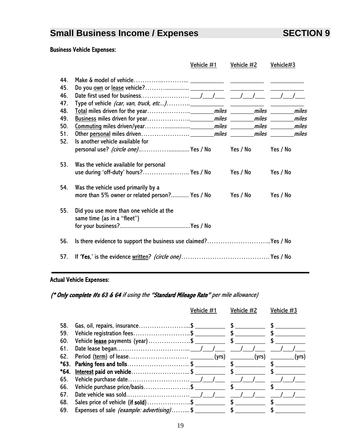#### Business Vehicle Expenses:

|                          |                                                                                             | Vehicle #1 | Vehicle #2 | Vehicle#3 |  |
|--------------------------|---------------------------------------------------------------------------------------------|------------|------------|-----------|--|
| 44.<br>45.<br>46.<br>47. |                                                                                             |            |            |           |  |
| 48.                      |                                                                                             |            |            |           |  |
| 49.                      |                                                                                             |            |            |           |  |
| 50.                      |                                                                                             |            |            |           |  |
| 51.                      |                                                                                             |            |            |           |  |
| 52.                      | Is another vehicle available for<br>personal use? <i>(circle one)</i> Yes / No     Yes / No |            |            | Yes / No  |  |
| 53.                      | Was the vehicle available for personal<br>use during 'off-duty' hours? Yes / No             |            | Yes / No   | Yes / No  |  |
| 54.                      | Was the vehicle used primarily by a<br>more than 5% owner or related person? Yes / No       |            | Yes / No   | Yes / No  |  |
| 55.                      | Did you use more than one vehicle at the<br>same time (as in a "fleet")                     |            |            |           |  |
| 56.                      | Is there evidence to support the business use claimed?Yes / No                              |            |            |           |  |
| 57.                      |                                                                                             |            |            |           |  |

### Actual Vehicle Expenses:

(\* Only complete #s 63 & 64 if using the "Standard Mileage Rate" per mile allowance)

|     |                                 | Vehicle #1 | Vehicle #2  | Vehicle #3               |
|-----|---------------------------------|------------|-------------|--------------------------|
| 58. |                                 |            | $\mathsf S$ |                          |
| 59. | Vehicle registration fees\$     |            | $\mathsf S$ |                          |
| 60. |                                 |            |             |                          |
| 61. |                                 |            |             |                          |
| 62. |                                 |            |             | _(yrs)<br>_(yrs) _______ |
|     |                                 |            |             |                          |
|     | *64. Interest paid on vehicle\$ |            | $\sim$      |                          |
| 65. |                                 |            |             |                          |
| 66. |                                 |            |             |                          |
| 67. |                                 |            |             |                          |
| 68. |                                 |            |             |                          |
| 69. |                                 |            |             |                          |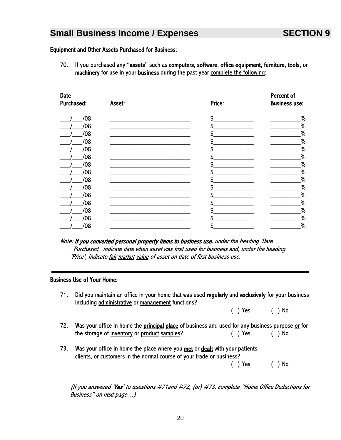#### Equipment and Other Assets Purchased for Business:

70. If you purchased any "assets" such as computers, software, office equipment, furniture, tools, or machinery for use in your business during the past year complete the following:

| <b>Date</b>       |        |        | Percent of           |
|-------------------|--------|--------|----------------------|
| <b>Purchased:</b> | Asset: | Price: | <b>Business use:</b> |
| /08               |        | \$     | %                    |
| /08               |        | S      | $\%$                 |
| /08               |        | \$     | $\%$                 |
| /08               |        | \$     | $\%$                 |
| /08               |        | \$     | $\%$                 |
| /08               |        | \$     | $\%$                 |
| /08               |        | \$     | $\%$                 |
| /08               |        | \$     | $\%$                 |
| /08               |        |        | $\%$                 |
| /08               |        | \$     | $\%$                 |
| /08               |        | \$     | $\%$                 |
| /08               |        | S      | $\%$                 |
| /08               |        | ፍ      | $\%$                 |
| /08               |        | \$     | $\%$                 |
| /08               |        | \$     | $\%$                 |

Note: If you converted personal property items to business use, under the heading 'Date Purchased,' indicate date when asset was first used for business and, under the heading 'Price', indicate fair market value of asset on date of first business use.

#### Business Use of Your Home:

71. Did you maintain an office in your home that was used regularly and exclusively for your business including administrative or management functions?

|  | ( ) Yes | ( ) No |
|--|---------|--------|
|  |         |        |

- 72. Was your office in home the **principal place** of business and used for any business purpose or for the storage of <u>inventory</u> or product samples? ( ) Yes ( ) No
- 73. Was your office in home the place where you **met** or **dealt** with your patients, clients, or customers in the normal course of your trade or business?

( ) Yes ( ) No

(If you answered 'Yes' to questions #71and #72, (or) #73, complete "Home Office Deductions for Business" on next page…)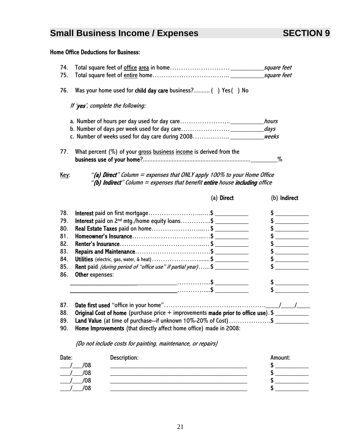### Home Office Deductions for Business:

| Was your home used for child day care business? () Yes () No                                                                                                                           |
|----------------------------------------------------------------------------------------------------------------------------------------------------------------------------------------|
|                                                                                                                                                                                        |
|                                                                                                                                                                                        |
|                                                                                                                                                                                        |
| weeks                                                                                                                                                                                  |
| What percent $(\%)$ of your gross business income is derived from the                                                                                                                  |
|                                                                                                                                                                                        |
|                                                                                                                                                                                        |
| "(a) Direct" Column = expenses that ONLY apply 100% to your Home Office<br>"(b) Indirect" Column $=$ expenses that benefit entire house including office<br>(a) Direct<br>(b) Indirect |
| Interest paid on first mortgage\$<br>$\frac{1}{2}$                                                                                                                                     |
| Interest paid on 2 <sup>nd</sup> mtg./home equity loans\$                                                                                                                              |
| Real Estate Taxes paid on home\$                                                                                                                                                       |
| $\frac{1}{2}$                                                                                                                                                                          |
|                                                                                                                                                                                        |
|                                                                                                                                                                                        |
| <b>Utilities</b> (electric, gas, water, & heat) \$                                                                                                                                     |
| <b>Rent</b> paid (during period of "office use" if partial year)\$<br>$\frac{1}{2}$                                                                                                    |
|                                                                                                                                                                                        |
|                                                                                                                                                                                        |
| $\frac{1}{2}$                                                                                                                                                                          |
|                                                                                                                                                                                        |
|                                                                                                                                                                                        |
|                                                                                                                                                                                        |
| Original Cost of home (purchase price + improvements made prior to office use). \$                                                                                                     |
|                                                                                                                                                                                        |

90. Home Improvements (that directly affect home office) made in 2008:

(Do not include costs for painting, maintenance, or repairs)

| Date: |     | Description: | Amount: |
|-------|-----|--------------|---------|
|       | /08 |              |         |
|       | /08 |              |         |
|       | /08 |              |         |
|       | /08 |              |         |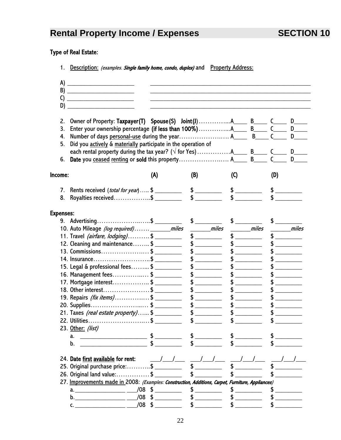# **Rental Property Income / Expenses SECTION 10**

### Type of Real Estate:

1. Description: (examples. Single family home, condo, duplex) and Property Address:

| A)               |                                                                                                   |            |                                          |                    |     |       |
|------------------|---------------------------------------------------------------------------------------------------|------------|------------------------------------------|--------------------|-----|-------|
| B)               |                                                                                                   |            |                                          |                    |     |       |
| C)               |                                                                                                   |            |                                          |                    |     |       |
| D)               |                                                                                                   |            |                                          |                    |     |       |
| 2.               |                                                                                                   |            |                                          |                    |     |       |
| 3.               |                                                                                                   |            |                                          |                    |     |       |
| 4.               |                                                                                                   |            |                                          |                    |     |       |
| 5.               | Did you actively & materially participate in the operation of                                     |            |                                          |                    |     |       |
| 6.               |                                                                                                   |            |                                          |                    |     |       |
|                  |                                                                                                   |            |                                          |                    |     |       |
| Income:          |                                                                                                   | (A)        | (B)                                      | $\left( 0 \right)$ | (D) |       |
|                  | 7. Rents received ( <i>total for year</i> ) \$                                                    |            | $$$ $\overline{\phantom{a} \phantom{a}}$ | $\frac{1}{2}$      |     |       |
| 8.               | Royalties received\$                                                                              |            |                                          |                    |     |       |
| <b>Expenses:</b> |                                                                                                   |            |                                          |                    |     |       |
|                  | 9. Advertising\$ _________                                                                        |            |                                          |                    |     |       |
|                  | 10. Auto Mileage (log required) ________ miles                                                    |            | <i>miles</i>                             | miles              |     | miles |
|                  | 11. Travel <i>(airfare, lodging)</i> \$                                                           |            |                                          |                    |     |       |
|                  | 12. Cleaning and maintenance\$                                                                    |            | $\frac{1}{2}$                            |                    |     |       |
|                  | 13. Commissions\$                                                                                 |            |                                          |                    |     |       |
|                  | 14. Insurance\$ ________                                                                          |            | $\frac{1}{2}$                            |                    |     |       |
|                  | 15. Legal & professional fees\$                                                                   |            |                                          |                    |     |       |
|                  | 16. Management fees\$                                                                             |            | \$                                       |                    |     |       |
|                  | 17. Mortgage interest\$                                                                           |            |                                          |                    |     |       |
|                  | 18. Other interest\$                                                                              |            |                                          |                    |     |       |
|                  | 19. Repairs <i>(fix items)</i> \$                                                                 |            |                                          |                    |     |       |
|                  | 20. Supplies\$                                                                                    |            |                                          |                    |     |       |
|                  | 21. Taxes <i>(real estate property)</i> \$                                                        |            |                                          |                    |     |       |
|                  | 22. Utilities\$                                                                                   |            | $\frac{1}{\sqrt{2}}$                     | \$                 |     |       |
|                  | 23. <u>Other:</u> (list)                                                                          |            |                                          |                    |     |       |
|                  | a.                                                                                                |            |                                          |                    |     |       |
|                  | b.                                                                                                |            |                                          |                    |     |       |
|                  |                                                                                                   |            |                                          |                    |     |       |
|                  | 24. Date first available for rent:                                                                | $\sqrt{1}$ |                                          |                    |     |       |
|                  | 25. Original purchase price:\$                                                                    |            |                                          |                    |     |       |
|                  | 26. Original land value:\$                                                                        |            |                                          |                    |     |       |
|                  | 27. Improvements made in 2008: (Examples: Construction, Additions, Carpet, Furniture, Appliances) |            |                                          |                    |     |       |
|                  | a. ___________________ ____/08 $\frac{4}{3}$ _________                                            |            |                                          |                    |     |       |
|                  | b. $/08$ \$                                                                                       |            |                                          |                    |     |       |
|                  |                                                                                                   | $/08$ \$   |                                          |                    |     |       |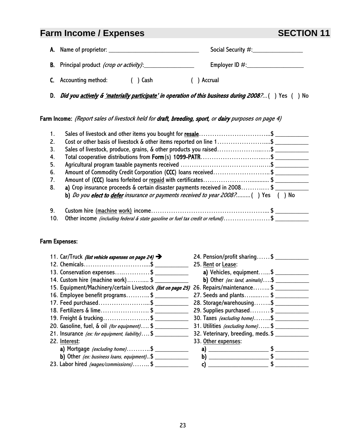## **Farm Income / Expenses SECTION 11**

| <b>A.</b> Name of proprietor:                   | Social Security #: |
|-------------------------------------------------|--------------------|
| <b>B.</b> Principal product (crop or activity): | Employer ID $\#$ : |

C. Accounting method: ( ) Cash ( ) Accrual

D. *Did you actively & 'materially participate' in operation of this business during 2008?...*( ) Yes ( ) No

Farm Income: (Report sales of livestock held for draft, breeding, sport, or dairy purposes on page 4)

| $\mathbf{1}$ . | Sales of livestock and other items you bought for <b>resale</b> \$                           |
|----------------|----------------------------------------------------------------------------------------------|
| 2.             | Cost or other basis of livestock & other items reported on line 1\$                          |
| 3.             |                                                                                              |
| 4.             | Total cooperative distributions from Form(s) 1099-PATR\$                                     |
| 5.             |                                                                                              |
| 6.             | Amount of Commodity Credit Corporation (CCC) loans received\$                                |
| 7.             | Amount of (CCC) loans forfeited or repaid with certificates\$                                |
| 8.             | a) Crop insurance proceeds & certain disaster payments received in 2008\$                    |
|                | b) Do you elect to defer insurance or payments received to year 2008?() Yes () No            |
| 9.             |                                                                                              |
| 10.            | Other income <i>(including federal &amp; state gasoline or fuel tax credit or refund)</i> \$ |

#### Farm Expenses:

| 11. Car/Truck <i>(list vehicle expenses on page 24)</i>     | 24. Pension/profit sharing\$         |
|-------------------------------------------------------------|--------------------------------------|
| 12. Chemicals\$                                             | 25. Rent or Lease:                   |
| 13. Conservation expenses\$                                 | a) Vehicles, equipment $\frac{1}{2}$ |
| 14. Custom hire (machine work) \$                           | b) Other (ex: land, animals)\$       |
| 15. Equipment/Machinery/certain Livestock (list on page 25) | 26. Repairs/maintenance\$            |
| 16. Employee benefit programs\$                             | 27. Seeds and plants\$               |
| 17. Feed purchased\$                                        | 28. Storage/warehousing\$            |
| 18. Fertilizers & lime\$                                    | 29. Supplies purchased\$             |
| 19. Freight & trucking\$                                    | 30. Taxes (excluding home)\$         |
| 20. Gasoline, fuel, & oil (for equipment) \$                | 31. Utilities (excluding home) \$    |
| 21. Insurance (ex: for equipment, liability)\$              | 32. Veterinary, breeding, meds. \$   |
| 22. Interest:                                               | 33. Other expenses:                  |
| a) Mortgage <i>(excluding home)</i> \$                      |                                      |
| b) Other (ex: business loans, equipment)\$                  | b)                                   |
| 23. Labor hired (wages/commissions)\$                       |                                      |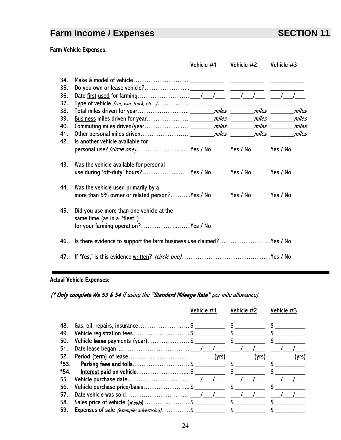# **Farm Income / Expenses** SECTION 11

### Farm Vehicle Expenses:

|            |                                                                                                                 | Vehicle #1 | <u>Vehicle <math>#2</math></u> | Vehicle #3 |  |
|------------|-----------------------------------------------------------------------------------------------------------------|------------|--------------------------------|------------|--|
| 34.<br>35. |                                                                                                                 |            |                                |            |  |
| 36.        |                                                                                                                 |            |                                |            |  |
| 37.        |                                                                                                                 |            |                                |            |  |
| 38.        |                                                                                                                 |            |                                |            |  |
| 39.<br>40. |                                                                                                                 |            |                                |            |  |
| 41.        |                                                                                                                 |            |                                |            |  |
| 42.        | Is another vehicle available for                                                                                |            |                                |            |  |
|            | personal use? <i>(circle one)</i> Yes / No     Yes / No                                                         |            |                                | Yes / No   |  |
| 43.        | Was the vehicle available for personal<br>use during 'off-duty' hours? Yes / No                                 |            | Yes / No                       | Yes / No   |  |
| 44.        | Was the vehicle used primarily by a                                                                             |            |                                |            |  |
|            | more than 5% owner or related person?Yes / No                                                                   |            | Yes / No                       | Yes / No   |  |
| 45.        | Did you use more than one vehicle at the<br>same time (as in a "fleet")<br>for your farming operation? Yes / No |            |                                |            |  |
| 46.        | Is there evidence to support the farm business use claimed?Yes / No                                             |            |                                |            |  |
| 47.        |                                                                                                                 |            |                                |            |  |

### Actual Vehicle Expenses:

(\* Only complete #s 53 & 54 if using the "Standard Mileage Rate" per mile allowance)

|            |                                                               | Vehicle #1 | Vehicle #2                  | Vehicle #3 |
|------------|---------------------------------------------------------------|------------|-----------------------------|------------|
| 48.<br>49. | Gas, oil, repairs, insurance\$<br>Vehicle registration fees\$ |            | $\mathsf S$<br>$\mathbf{s}$ |            |
| 50.        | Vehicle <u>lease</u> payments (year)\$ ____________           |            |                             |            |
| 51.        |                                                               |            |                             |            |
| 52.        |                                                               |            | (yrs)                       | (yrs).     |
| *53.       |                                                               |            |                             |            |
| *54.       | Interest paid on vehicle\$                                    |            |                             |            |
| 55.        |                                                               |            |                             |            |
| 56.        |                                                               |            |                             |            |
| 57.        |                                                               |            |                             |            |
| 58.        |                                                               |            |                             |            |
| 59.        | Expenses of sale (example: advertising)\$                     |            | $\mathsf{s}$                |            |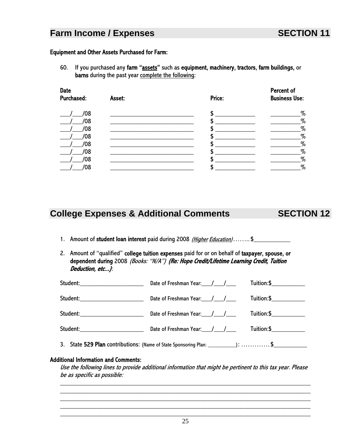#### Equipment and Other Assets Purchased for Farm:

60. If you purchased any farm "assets" such as equipment, machinery, tractors, farm buildings, or barns during the past year complete the following:

| <b>Date</b><br><b>Purchased:</b> | Price:<br>Asset: |   | Percent of<br><b>Business Use:</b> |
|----------------------------------|------------------|---|------------------------------------|
| /08                              |                  | S | $\%$                               |
| /08                              |                  |   | $\%$                               |
| /08                              |                  |   | $\%$                               |
| /08                              |                  |   | $\%$                               |
| /08                              |                  |   | $\%$                               |
| '08                              |                  |   | $\%$                               |
| /08                              |                  |   | $\%$                               |
| Ό8                               |                  |   | $\%$                               |

## **College Expenses & Additional Comments SECTION 12**

- 1. Amount of student loan interest paid during 2008 (Higher Education)…….\$
- 2. Amount of "qualified" college tuition expenses paid for or on behalf of taxpayer, spouse, or dependent during 2008 (Books: "N/A") (Re: Hope Credit/Lifetime Learning Credit, Tuition Deduction, etc...):

| Student:_______________________    |                                            |  |
|------------------------------------|--------------------------------------------|--|
| Student:__________________________ |                                            |  |
| Student:__________________________ | Date of Freshman Year: 11.12000 Tuition:\$ |  |
|                                    |                                            |  |
|                                    |                                            |  |

#### Additional Information and Comments:

Use the following lines to provide additional information that might be pertinent to this tax year. Please be as specific as possible:

\_\_\_\_\_\_\_\_\_\_\_\_\_\_\_\_\_\_\_\_\_\_\_\_\_\_\_\_\_\_\_\_\_\_\_\_\_\_\_\_\_\_\_\_\_\_\_\_\_\_\_\_\_\_\_\_\_\_\_\_\_\_\_\_\_\_\_\_\_\_\_\_\_\_\_ \_\_\_\_\_\_\_\_\_\_\_\_\_\_\_\_\_\_\_\_\_\_\_\_\_\_\_\_\_\_\_\_\_\_\_\_\_\_\_\_\_\_\_\_\_\_\_\_\_\_\_\_\_\_\_\_\_\_\_\_\_\_\_\_\_\_\_\_\_\_\_\_\_\_\_ \_\_\_\_\_\_\_\_\_\_\_\_\_\_\_\_\_\_\_\_\_\_\_\_\_\_\_\_\_\_\_\_\_\_\_\_\_\_\_\_\_\_\_\_\_\_\_\_\_\_\_\_\_\_\_\_\_\_\_\_\_\_\_\_\_\_\_\_\_\_\_\_\_\_\_ \_\_\_\_\_\_\_\_\_\_\_\_\_\_\_\_\_\_\_\_\_\_\_\_\_\_\_\_\_\_\_\_\_\_\_\_\_\_\_\_\_\_\_\_\_\_\_\_\_\_\_\_\_\_\_\_\_\_\_\_\_\_\_\_\_\_\_\_\_\_\_\_\_\_\_